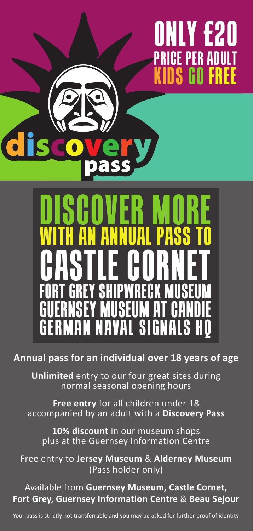## **ONLY £20 PRICE PER ADULT KIDS GO FR**



**Annual pass for an individual over 18 years of age**

**Unlimited** entry to our four great sites during normal seasonal opening hours

**Free entry** for all children under 18 accompanied by an adult with a **Discovery Pass**

**10% discount** in our museum shops plus at the Guernsey Information Centre

Free entry to **Jersey Museum** & **Alderney Museum** (Pass holder only)

Available from **Guernsey Museum, Castle Cornet, Fort Grey, Guernsey Information Centre** & **Beau Sejour**

Your pass is strictly not transferrable and you may be asked for further proof of identity